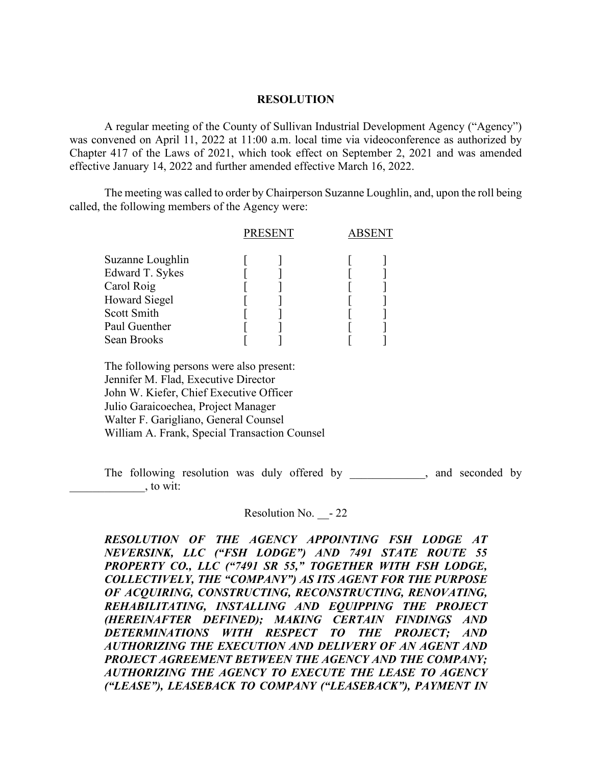## **RESOLUTION**

A regular meeting of the County of Sullivan Industrial Development Agency ("Agency") was convened on April 11, 2022 at 11:00 a.m. local time via videoconference as authorized by Chapter 417 of the Laws of 2021, which took effect on September 2, 2021 and was amended effective January 14, 2022 and further amended effective March 16, 2022.

The meeting was called to order by Chairperson Suzanne Loughlin, and, upon the roll being called, the following members of the Agency were:

|                      | <b>PRESENT</b> |  |  |  |
|----------------------|----------------|--|--|--|
| Suzanne Loughlin     |                |  |  |  |
| Edward T. Sykes      |                |  |  |  |
| Carol Roig           |                |  |  |  |
| <b>Howard Siegel</b> |                |  |  |  |
| Scott Smith          |                |  |  |  |
| Paul Guenther        |                |  |  |  |
| Sean Brooks          |                |  |  |  |
|                      |                |  |  |  |

 The following persons were also present: Jennifer M. Flad, Executive Director John W. Kiefer, Chief Executive Officer Julio Garaicoechea, Project Manager Walter F. Garigliano, General Counsel William A. Frank, Special Transaction Counsel

The following resolution was duly offered by example the seconded by the following resolution was duly offered by  $\lambda$ , to wit:

Resolution No. - 22

*RESOLUTION OF THE AGENCY APPOINTING FSH LODGE AT NEVERSINK, LLC ("FSH LODGE") AND 7491 STATE ROUTE 55 PROPERTY CO., LLC ("7491 SR 55," TOGETHER WITH FSH LODGE, COLLECTIVELY, THE "COMPANY") AS ITS AGENT FOR THE PURPOSE OF ACQUIRING, CONSTRUCTING, RECONSTRUCTING, RENOVATING, REHABILITATING, INSTALLING AND EQUIPPING THE PROJECT (HEREINAFTER DEFINED); MAKING CERTAIN FINDINGS AND DETERMINATIONS WITH RESPECT TO THE PROJECT; AND AUTHORIZING THE EXECUTION AND DELIVERY OF AN AGENT AND PROJECT AGREEMENT BETWEEN THE AGENCY AND THE COMPANY; AUTHORIZING THE AGENCY TO EXECUTE THE LEASE TO AGENCY ("LEASE"), LEASEBACK TO COMPANY ("LEASEBACK"), PAYMENT IN*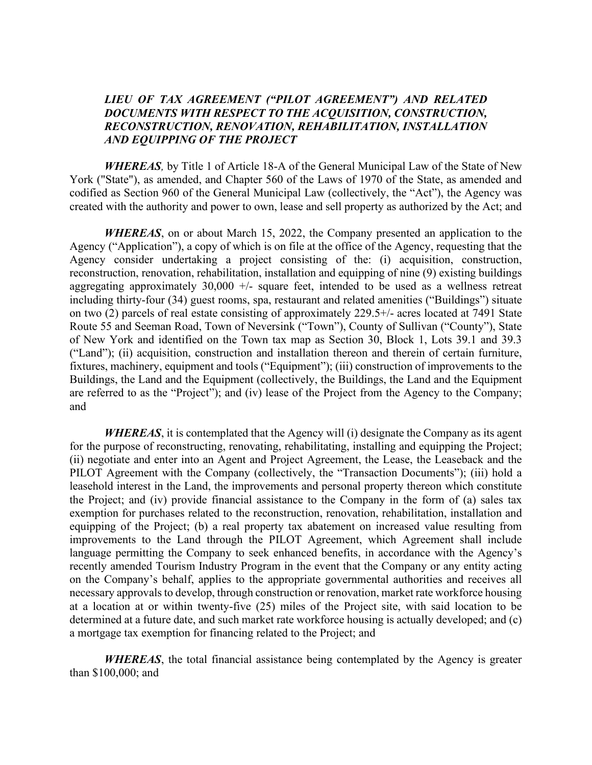## *LIEU OF TAX AGREEMENT ("PILOT AGREEMENT") AND RELATED DOCUMENTS WITH RESPECT TO THE ACQUISITION, CONSTRUCTION, RECONSTRUCTION, RENOVATION, REHABILITATION, INSTALLATION AND EQUIPPING OF THE PROJECT*

*WHEREAS,* by Title 1 of Article 18-A of the General Municipal Law of the State of New York ("State"), as amended, and Chapter 560 of the Laws of 1970 of the State, as amended and codified as Section 960 of the General Municipal Law (collectively, the "Act"), the Agency was created with the authority and power to own, lease and sell property as authorized by the Act; and

*WHEREAS*, on or about March 15, 2022, the Company presented an application to the Agency ("Application"), a copy of which is on file at the office of the Agency, requesting that the Agency consider undertaking a project consisting of the: (i) acquisition, construction, reconstruction, renovation, rehabilitation, installation and equipping of nine (9) existing buildings aggregating approximately  $30,000 +$ - square feet, intended to be used as a wellness retreat including thirty-four (34) guest rooms, spa, restaurant and related amenities ("Buildings") situate on two (2) parcels of real estate consisting of approximately 229.5+/- acres located at 7491 State Route 55 and Seeman Road, Town of Neversink ("Town"), County of Sullivan ("County"), State of New York and identified on the Town tax map as Section 30, Block 1, Lots 39.1 and 39.3 ("Land"); (ii) acquisition, construction and installation thereon and therein of certain furniture, fixtures, machinery, equipment and tools ("Equipment"); (iii) construction of improvements to the Buildings, the Land and the Equipment (collectively, the Buildings, the Land and the Equipment are referred to as the "Project"); and (iv) lease of the Project from the Agency to the Company; and

*WHEREAS*, it is contemplated that the Agency will (i) designate the Company as its agent for the purpose of reconstructing, renovating, rehabilitating, installing and equipping the Project; (ii) negotiate and enter into an Agent and Project Agreement, the Lease, the Leaseback and the PILOT Agreement with the Company (collectively, the "Transaction Documents"); (iii) hold a leasehold interest in the Land, the improvements and personal property thereon which constitute the Project; and (iv) provide financial assistance to the Company in the form of (a) sales tax exemption for purchases related to the reconstruction, renovation, rehabilitation, installation and equipping of the Project; (b) a real property tax abatement on increased value resulting from improvements to the Land through the PILOT Agreement, which Agreement shall include language permitting the Company to seek enhanced benefits, in accordance with the Agency's recently amended Tourism Industry Program in the event that the Company or any entity acting on the Company's behalf, applies to the appropriate governmental authorities and receives all necessary approvals to develop, through construction or renovation, market rate workforce housing at a location at or within twenty-five (25) miles of the Project site, with said location to be determined at a future date, and such market rate workforce housing is actually developed; and (c) a mortgage tax exemption for financing related to the Project; and

*WHEREAS*, the total financial assistance being contemplated by the Agency is greater than \$100,000; and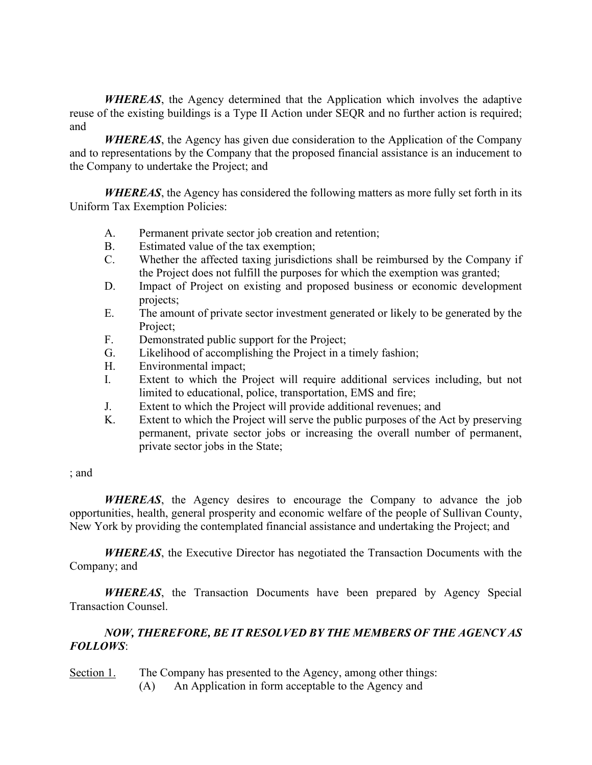*WHEREAS*, the Agency determined that the Application which involves the adaptive reuse of the existing buildings is a Type II Action under SEQR and no further action is required; and

*WHEREAS*, the Agency has given due consideration to the Application of the Company and to representations by the Company that the proposed financial assistance is an inducement to the Company to undertake the Project; and

*WHEREAS*, the Agency has considered the following matters as more fully set forth in its Uniform Tax Exemption Policies:

- A. Permanent private sector job creation and retention;
- B. Estimated value of the tax exemption;
- C. Whether the affected taxing jurisdictions shall be reimbursed by the Company if the Project does not fulfill the purposes for which the exemption was granted;
- D. Impact of Project on existing and proposed business or economic development projects;
- E. The amount of private sector investment generated or likely to be generated by the Project;
- F. Demonstrated public support for the Project;
- G. Likelihood of accomplishing the Project in a timely fashion;
- H. Environmental impact;
- I. Extent to which the Project will require additional services including, but not limited to educational, police, transportation, EMS and fire;
- J. Extent to which the Project will provide additional revenues; and
- K. Extent to which the Project will serve the public purposes of the Act by preserving permanent, private sector jobs or increasing the overall number of permanent, private sector jobs in the State;

## ; and

*WHEREAS*, the Agency desires to encourage the Company to advance the job opportunities, health, general prosperity and economic welfare of the people of Sullivan County, New York by providing the contemplated financial assistance and undertaking the Project; and

*WHEREAS*, the Executive Director has negotiated the Transaction Documents with the Company; and

*WHEREAS*, the Transaction Documents have been prepared by Agency Special Transaction Counsel.

## *NOW, THEREFORE, BE IT RESOLVED BY THE MEMBERS OF THE AGENCY AS FOLLOWS*:

Section 1. The Company has presented to the Agency, among other things:

(A) An Application in form acceptable to the Agency and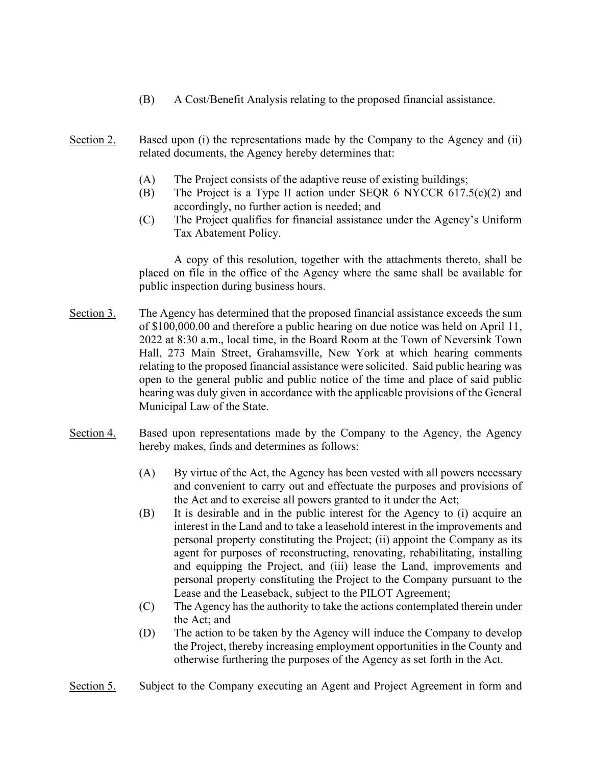- (B) A Cost/Benefit Analysis relating to the proposed financial assistance.
- Section 2. Based upon (i) the representations made by the Company to the Agency and (ii) related documents, the Agency hereby determines that:
	- (A) The Project consists of the adaptive reuse of existing buildings;
	- (B) The Project is a Type II action under SEQR 6 NYCCR  $617.5(c)(2)$  and accordingly, no further action is needed; and
	- (C) The Project qualifies for financial assistance under the Agency's Uniform Tax Abatement Policy.

A copy of this resolution, together with the attachments thereto, shall be placed on file in the office of the Agency where the same shall be available for public inspection during business hours.

- Section 3. The Agency has determined that the proposed financial assistance exceeds the sum of \$100,000.00 and therefore a public hearing on due notice was held on April 11, 2022 at 8:30 a.m., local time, in the Board Room at the Town of Neversink Town Hall, 273 Main Street, Grahamsville, New York at which hearing comments relating to the proposed financial assistance were solicited. Said public hearing was open to the general public and public notice of the time and place of said public hearing was duly given in accordance with the applicable provisions of the General Municipal Law of the State.
- Section 4. Based upon representations made by the Company to the Agency, the Agency hereby makes, finds and determines as follows:
	- (A) By virtue of the Act, the Agency has been vested with all powers necessary and convenient to carry out and effectuate the purposes and provisions of the Act and to exercise all powers granted to it under the Act;
	- (B) It is desirable and in the public interest for the Agency to (i) acquire an interest in the Land and to take a leasehold interest in the improvements and personal property constituting the Project; (ii) appoint the Company as its agent for purposes of reconstructing, renovating, rehabilitating, installing and equipping the Project, and (iii) lease the Land, improvements and personal property constituting the Project to the Company pursuant to the Lease and the Leaseback, subject to the PILOT Agreement;
	- (C) The Agency has the authority to take the actions contemplated therein under the Act; and
	- (D) The action to be taken by the Agency will induce the Company to develop the Project, thereby increasing employment opportunities in the County and otherwise furthering the purposes of the Agency as set forth in the Act.
- Section 5. Subject to the Company executing an Agent and Project Agreement in form and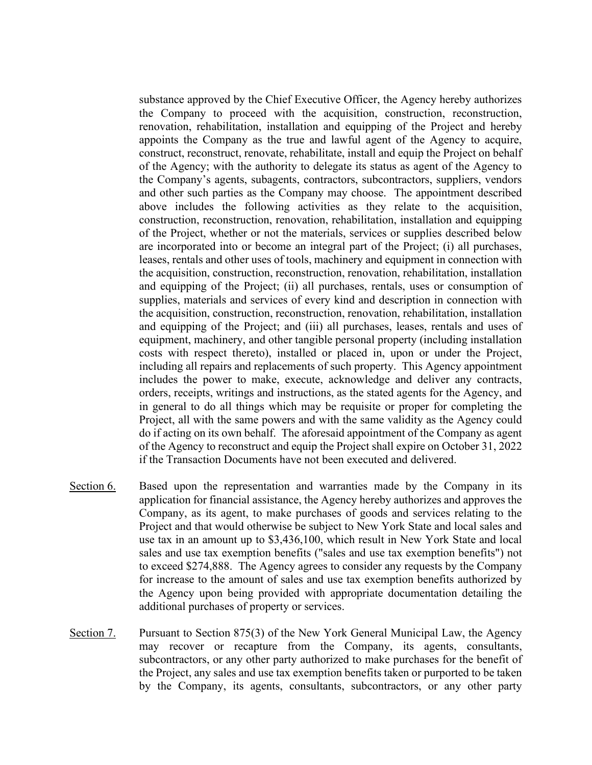substance approved by the Chief Executive Officer, the Agency hereby authorizes the Company to proceed with the acquisition, construction, reconstruction, renovation, rehabilitation, installation and equipping of the Project and hereby appoints the Company as the true and lawful agent of the Agency to acquire, construct, reconstruct, renovate, rehabilitate, install and equip the Project on behalf of the Agency; with the authority to delegate its status as agent of the Agency to the Company's agents, subagents, contractors, subcontractors, suppliers, vendors and other such parties as the Company may choose. The appointment described above includes the following activities as they relate to the acquisition, construction, reconstruction, renovation, rehabilitation, installation and equipping of the Project, whether or not the materials, services or supplies described below are incorporated into or become an integral part of the Project; (i) all purchases, leases, rentals and other uses of tools, machinery and equipment in connection with the acquisition, construction, reconstruction, renovation, rehabilitation, installation and equipping of the Project; (ii) all purchases, rentals, uses or consumption of supplies, materials and services of every kind and description in connection with the acquisition, construction, reconstruction, renovation, rehabilitation, installation and equipping of the Project; and (iii) all purchases, leases, rentals and uses of equipment, machinery, and other tangible personal property (including installation costs with respect thereto), installed or placed in, upon or under the Project, including all repairs and replacements of such property. This Agency appointment includes the power to make, execute, acknowledge and deliver any contracts, orders, receipts, writings and instructions, as the stated agents for the Agency, and in general to do all things which may be requisite or proper for completing the Project, all with the same powers and with the same validity as the Agency could do if acting on its own behalf. The aforesaid appointment of the Company as agent of the Agency to reconstruct and equip the Project shall expire on October 31, 2022 if the Transaction Documents have not been executed and delivered.

- Section 6. Based upon the representation and warranties made by the Company in its application for financial assistance, the Agency hereby authorizes and approves the Company, as its agent, to make purchases of goods and services relating to the Project and that would otherwise be subject to New York State and local sales and use tax in an amount up to \$3,436,100, which result in New York State and local sales and use tax exemption benefits ("sales and use tax exemption benefits") not to exceed \$274,888. The Agency agrees to consider any requests by the Company for increase to the amount of sales and use tax exemption benefits authorized by the Agency upon being provided with appropriate documentation detailing the additional purchases of property or services.
- Section 7. Pursuant to Section 875(3) of the New York General Municipal Law, the Agency may recover or recapture from the Company, its agents, consultants, subcontractors, or any other party authorized to make purchases for the benefit of the Project, any sales and use tax exemption benefits taken or purported to be taken by the Company, its agents, consultants, subcontractors, or any other party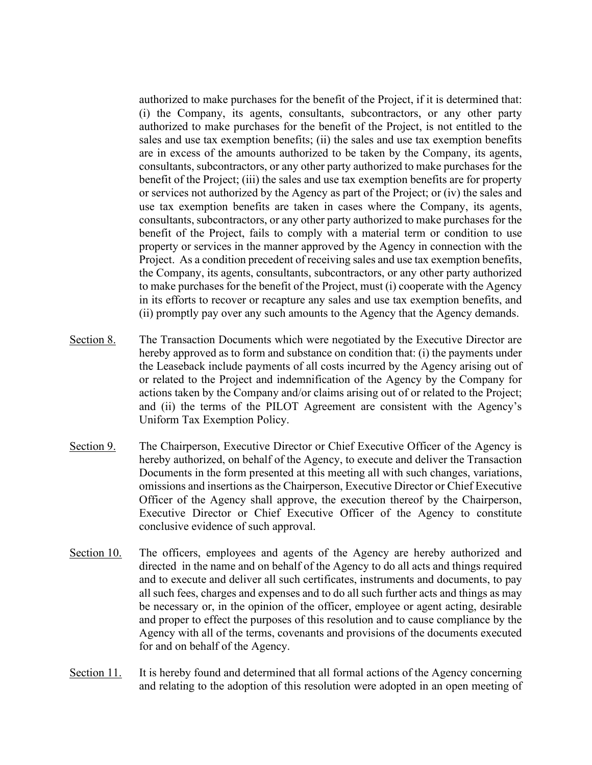authorized to make purchases for the benefit of the Project, if it is determined that: (i) the Company, its agents, consultants, subcontractors, or any other party authorized to make purchases for the benefit of the Project, is not entitled to the sales and use tax exemption benefits; (ii) the sales and use tax exemption benefits are in excess of the amounts authorized to be taken by the Company, its agents, consultants, subcontractors, or any other party authorized to make purchases for the benefit of the Project; (iii) the sales and use tax exemption benefits are for property or services not authorized by the Agency as part of the Project; or (iv) the sales and use tax exemption benefits are taken in cases where the Company, its agents, consultants, subcontractors, or any other party authorized to make purchases for the benefit of the Project, fails to comply with a material term or condition to use property or services in the manner approved by the Agency in connection with the Project. As a condition precedent of receiving sales and use tax exemption benefits, the Company, its agents, consultants, subcontractors, or any other party authorized to make purchases for the benefit of the Project, must (i) cooperate with the Agency in its efforts to recover or recapture any sales and use tax exemption benefits, and (ii) promptly pay over any such amounts to the Agency that the Agency demands.

- Section 8. The Transaction Documents which were negotiated by the Executive Director are hereby approved as to form and substance on condition that: (i) the payments under the Leaseback include payments of all costs incurred by the Agency arising out of or related to the Project and indemnification of the Agency by the Company for actions taken by the Company and/or claims arising out of or related to the Project; and (ii) the terms of the PILOT Agreement are consistent with the Agency's Uniform Tax Exemption Policy.
- Section 9. The Chairperson, Executive Director or Chief Executive Officer of the Agency is hereby authorized, on behalf of the Agency, to execute and deliver the Transaction Documents in the form presented at this meeting all with such changes, variations, omissions and insertions as the Chairperson, Executive Director or Chief Executive Officer of the Agency shall approve, the execution thereof by the Chairperson, Executive Director or Chief Executive Officer of the Agency to constitute conclusive evidence of such approval.
- Section 10. The officers, employees and agents of the Agency are hereby authorized and directed in the name and on behalf of the Agency to do all acts and things required and to execute and deliver all such certificates, instruments and documents, to pay all such fees, charges and expenses and to do all such further acts and things as may be necessary or, in the opinion of the officer, employee or agent acting, desirable and proper to effect the purposes of this resolution and to cause compliance by the Agency with all of the terms, covenants and provisions of the documents executed for and on behalf of the Agency.
- Section 11. It is hereby found and determined that all formal actions of the Agency concerning and relating to the adoption of this resolution were adopted in an open meeting of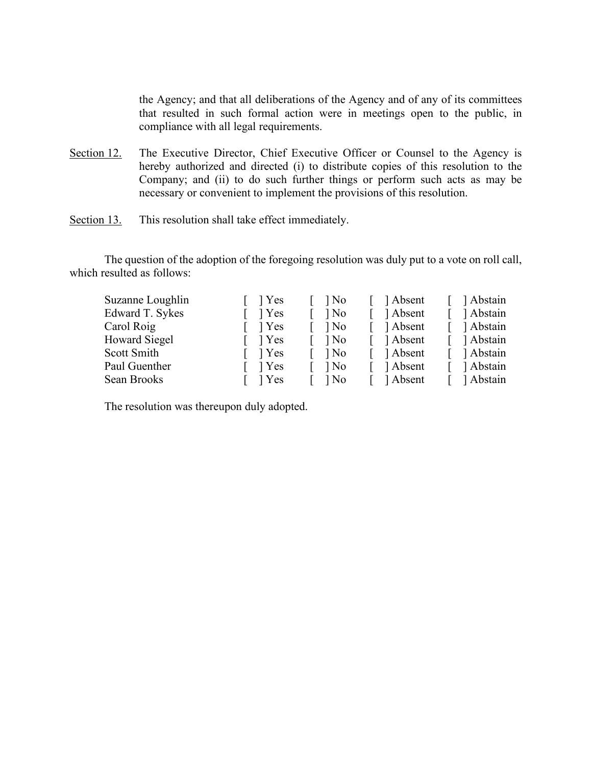the Agency; and that all deliberations of the Agency and of any of its committees that resulted in such formal action were in meetings open to the public, in compliance with all legal requirements.

- Section 12. The Executive Director, Chief Executive Officer or Counsel to the Agency is hereby authorized and directed (i) to distribute copies of this resolution to the Company; and (ii) to do such further things or perform such acts as may be necessary or convenient to implement the provisions of this resolution.
- Section 13. This resolution shall take effect immediately.

The question of the adoption of the foregoing resolution was duly put to a vote on roll call, which resulted as follows:

| Suzanne Loughlin | l Yes | ] No   | Absent   | ] Abstain |
|------------------|-------|--------|----------|-----------|
| Edward T. Sykes  | 1 Yes | 1 No   | 1 Absent | Abstain   |
| Carol Roig       | l Yes | ] No   | Absent   | Abstain   |
| Howard Siegel    | 1 Yes | l No   | 1 Absent | Abstain   |
| Scott Smith      | 1 Yes | $1$ No | 1 Absent | Abstain   |
| Paul Guenther    | l Yes | ] No   | ] Absent | 1 Abstain |
| Sean Brooks      | Yes   | ] No   | ] Absent | Abstain   |

The resolution was thereupon duly adopted.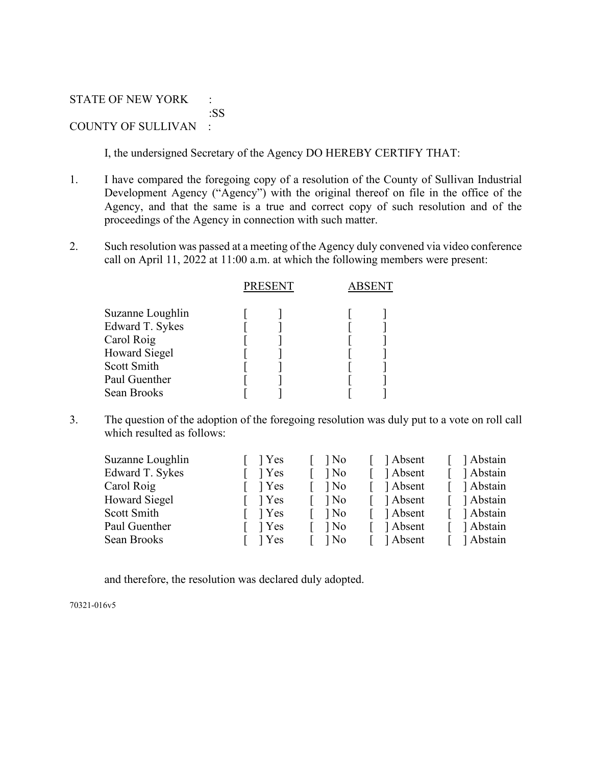STATE OF NEW YORK : :SS COUNTY OF SULLIVAN :

I, the undersigned Secretary of the Agency DO HEREBY CERTIFY THAT:

- 1. I have compared the foregoing copy of a resolution of the County of Sullivan Industrial Development Agency ("Agency") with the original thereof on file in the office of the Agency, and that the same is a true and correct copy of such resolution and of the proceedings of the Agency in connection with such matter.
- 2. Such resolution was passed at a meeting of the Agency duly convened via video conference call on April 11, 2022 at 11:00 a.m. at which the following members were present:

|                                                                                                                          | <b>PRESENT</b> |  |  |  |
|--------------------------------------------------------------------------------------------------------------------------|----------------|--|--|--|
| Suzanne Loughlin<br>Edward T. Sykes<br>Carol Roig<br><b>Howard Siegel</b><br>Scott Smith<br>Paul Guenther<br>Sean Brooks |                |  |  |  |
|                                                                                                                          |                |  |  |  |

3. The question of the adoption of the foregoing resolution was duly put to a vote on roll call which resulted as follows:

| Suzanne Loughlin     | $\vert$ Yes       | $\log$ | ] Absent | Abstain   |
|----------------------|-------------------|--------|----------|-----------|
| Edward T. Sykes      | 1 Yes             | ] No   | 1 Absent | Abstain   |
| Carol Roig           | 1 Yes             | $\log$ | Absent   | Abstain   |
| <b>Howard Siegel</b> | 1 Yes             | ] No   | ] Absent | 1 Abstain |
| Scott Smith          | $\frac{1}{2}$ Yes | l No   | 1 Absent | Abstain   |
| Paul Guenther        | l Yes             | l No   | Absent   | Abstain   |
| Sean Brooks          | 1 Yes             | ] No   | ] Absent | 1 Abstain |
|                      |                   |        |          |           |

and therefore, the resolution was declared duly adopted.

70321-016v5